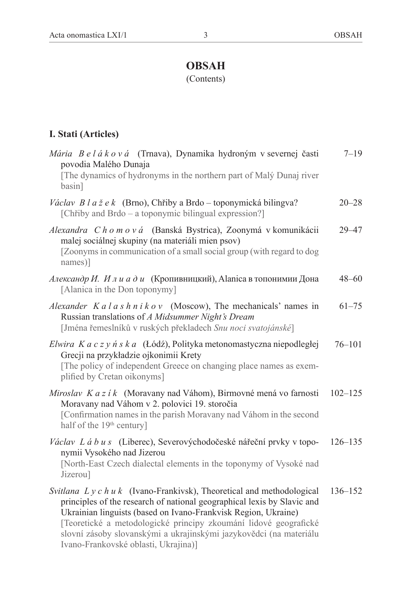## **OBSAH**

(Contents)

## **I. Stati (Articles)**

| Mária B e l á k o v á (Trnava), Dynamika hydroným v severnej časti<br>povodia Malého Dunaja<br>[The dynamics of hydronyms in the northern part of Malý Dunaj river<br>basin]                                                                                                                                                                                                                            | $7 - 19$    |
|---------------------------------------------------------------------------------------------------------------------------------------------------------------------------------------------------------------------------------------------------------------------------------------------------------------------------------------------------------------------------------------------------------|-------------|
| Václav Blažek (Brno), Chřiby a Brdo – toponymická bilingva?<br>[Chřiby and Brdo – a toponymic bilingual expression?]                                                                                                                                                                                                                                                                                    | $20 - 28$   |
| Alexandra Chomová (Banská Bystrica), Zoonymá v komunikácii<br>malej sociálnej skupiny (na materiáli mien psov)<br>[Zoonyms in communication of a small social group (with regard to dog<br>names)]                                                                                                                                                                                                      | 29–47       |
| Александр И. Илиади (Кропивницкий), Alanica в топонимии Дона<br>[Alanica in the Don toponymy]                                                                                                                                                                                                                                                                                                           | 48–60       |
| Alexander $Ka \mid a \mid s \mid h \mid i \mid k \mid o \mid v$ (Moscow), The mechanicals' names in<br>Russian translations of A Midsummer Night's Dream<br>[Jména řemeslníků v ruských překladech Snu noci svatojánské]                                                                                                                                                                                | $61 - 75$   |
| Elwira K a c z y ń s k a (Łódź), Polityka metonomastyczna niepodległej<br>Grecji na przykładzie ojkonimii Krety<br>[The policy of independent Greece on changing place names as exem-<br>plified by Cretan oikonyms]                                                                                                                                                                                    | $76 - 101$  |
| Miroslav K a z í k (Moravany nad Váhom), Birmovné mená vo farnosti<br>Moravany nad Váhom v 2. polovici 19. storočia<br>[Confirmation names in the parish Moravany nad Váhom in the second<br>half of the 19 <sup>th</sup> century]                                                                                                                                                                      | $102 - 125$ |
| Václav Lábus (Liberec), Severovýchodočeské nářeční prvky v topo-<br>nymii Vysokého nad Jizerou<br>[North-East Czech dialectal elements in the toponymy of Vysoké nad<br>Jizerou]                                                                                                                                                                                                                        | $126 - 135$ |
| Svitlana $L y c h u k$ (Ivano-Frankivsk), Theoretical and methodological<br>principles of the research of national geographical lexis by Slavic and<br>Ukrainian linguists (based on Ivano-Frankvisk Region, Ukraine)<br>[Teoretické a metodologické principy zkoumání lidové geografické<br>slovní zásoby slovanskými a ukrajinskými jazykovědci (na materiálu<br>Ivano-Frankovské oblasti, Ukrajina)] | $136 - 152$ |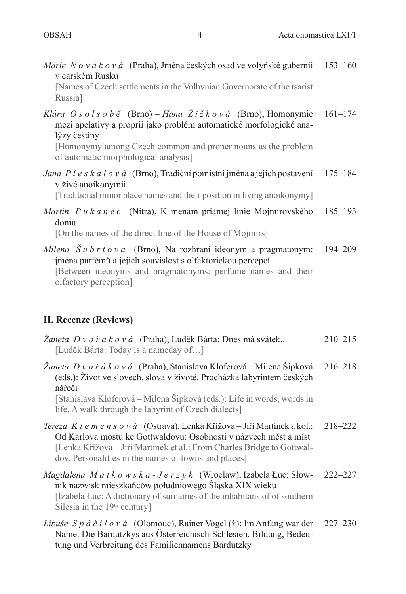| Marie Nováková (Praha), Jména českých osad ve volyňské gubernii<br>v carském Rusku<br>[Names of Czech settlements in the Volhynian Governorate of the tsarist<br>Russia]                                                                              | $153 - 160$ |
|-------------------------------------------------------------------------------------------------------------------------------------------------------------------------------------------------------------------------------------------------------|-------------|
| Klára Osolsobě (Brno) – Hana Žižková (Brno), Homonymie<br>mezi apelativy a proprii jako problém automatické morfologické ana-<br>lýzy češtiny<br>[Homonymy among Czech common and proper nouns as the problem<br>of automatic morphological analysis] | $161 - 174$ |
| Jana P l e s k a l o v á (Brno), Tradiční pomístní jména a jejich postavení<br>v živé anoikonymii<br>[Traditional minor place names and their position in living anoikonymy]                                                                          | $175 - 184$ |
| Martin Pukanec (Nitra), K menám priamej línie Mojmírovského<br>domu<br>[On the names of the direct line of the House of Mojmirs]                                                                                                                      | $185 - 193$ |
| Milena $\check{S} u b r t o v d$ (Brno), Na rozhraní ideonym a pragmatonym:<br>jména parfémů a jejich souvislost s olfaktorickou percepcí<br>[Between ideonyms and pragmatonyms: perfume names and their<br>olfactory perception]                     | $194 - 209$ |
| II. Recenze (Reviews)                                                                                                                                                                                                                                 |             |
| <i>Žaneta D v o ř á k o v á</i> (Praha), Luděk Bárta: Dnes má svátek<br>[Luděk Bárta: Today is a nameday of]                                                                                                                                          | $210 - 215$ |
| Žaneta D v o ř á k o v á (Praha), Stanislava Kloferová – Milena Šipková<br>(eds.): Život ve slovech, slova v životě. Procházka labyrintem českých<br>nářečí<br>$\sim$                                                                                 | $216 - 218$ |

[Stanislava Kloferová ‒ Milena Šipková (eds.): Life in words, words in life. A walk through the labyrint of Czech dialects]

- *Tereza K l e m e n s o v á* (Ostrava), Lenka Křížová ‒ Jiří Martínek a kol.: Od Karlova mostu ke Gottwaldovu: Osobnosti v názvech měst a míst 218–222 [Lenka Křížová ‒ Jiří Martínek et al.: From Charles Bridge to Gottwaldov. Personalities in the names of towns and places]
- *Magdalena M a t k o w s k a J e r z y k* (Wrocław), Izabela Łuc: Słownik nazwisk mieszkańców południowego Śląska XIX wieku 222–227 [Izabela Łuc: A dictionary of surnames of the inhabitans of of southern Silesia in the 19<sup>th</sup> century]
- *Libuše S p á č i l o v á* (Olomouc), Rainer Vogel (†): Im Anfang war der Name. Die Bardutzkys aus Österreichisch-Schlesien. Bildung, Bedeutung und Verbreitung des Familiennamens Bardutzky 227–230